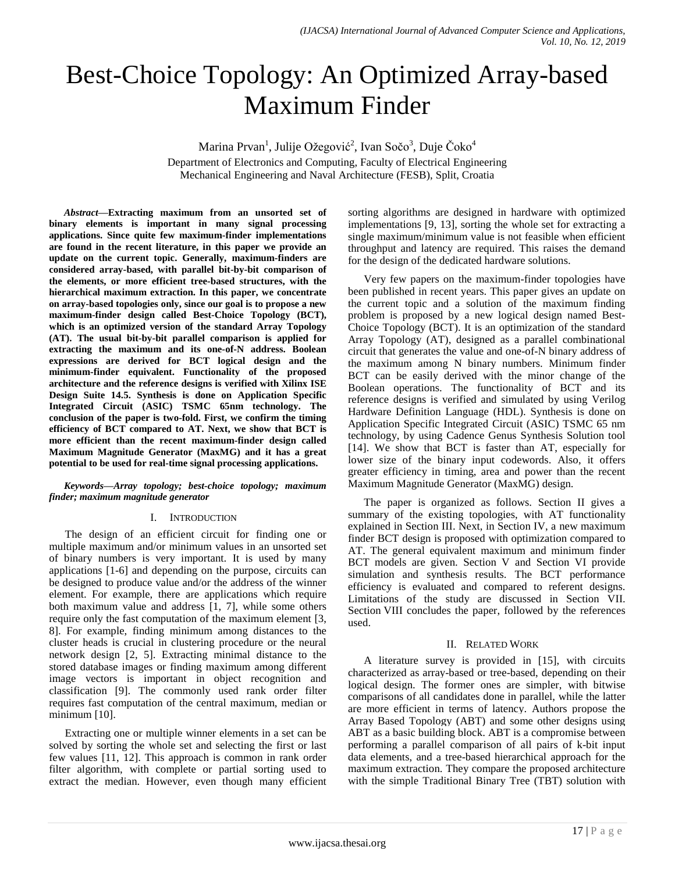# Best-Choice Topology: An Optimized Array-based Maximum Finder

Marina Prvan<sup>1</sup>, Julije Ožegović<sup>2</sup>, Ivan Sočo<sup>3</sup>, Duje Čoko<sup>4</sup>

Department of Electronics and Computing, Faculty of Electrical Engineering Mechanical Engineering and Naval Architecture (FESB), Split, Croatia

*Abstract***—Extracting maximum from an unsorted set of binary elements is important in many signal processing applications. Since quite few maximum-finder implementations are found in the recent literature, in this paper we provide an update on the current topic. Generally, maximum-finders are considered array-based, with parallel bit-by-bit comparison of the elements, or more efficient tree-based structures, with the hierarchical maximum extraction. In this paper, we concentrate on array-based topologies only, since our goal is to propose a new maximum-finder design called Best-Choice Topology (BCT), which is an optimized version of the standard Array Topology (AT). The usual bit-by-bit parallel comparison is applied for extracting the maximum and its one-of-N address. Boolean expressions are derived for BCT logical design and the minimum-finder equivalent. Functionality of the proposed architecture and the reference designs is verified with Xilinx ISE Design Suite 14.5. Synthesis is done on Application Specific Integrated Circuit (ASIC) TSMC 65nm technology. The conclusion of the paper is two-fold. First, we confirm the timing efficiency of BCT compared to AT. Next, we show that BCT is more efficient than the recent maximum-finder design called Maximum Magnitude Generator (MaxMG) and it has a great potential to be used for real-time signal processing applications.**

### *Keywords—Array topology; best-choice topology; maximum finder; maximum magnitude generator*

# I. INTRODUCTION

The design of an efficient circuit for finding one or multiple maximum and/or minimum values in an unsorted set of binary numbers is very important. It is used by many applications [1-6] and depending on the purpose, circuits can be designed to produce value and/or the address of the winner element. For example, there are applications which require both maximum value and address [1, 7], while some others require only the fast computation of the maximum element [3, 8]. For example, finding minimum among distances to the cluster heads is crucial in clustering procedure or the neural network design [2, 5]. Extracting minimal distance to the stored database images or finding maximum among different image vectors is important in object recognition and classification [9]. The commonly used rank order filter requires fast computation of the central maximum, median or minimum [10].

Extracting one or multiple winner elements in a set can be solved by sorting the whole set and selecting the first or last few values [11, 12]. This approach is common in rank order filter algorithm, with complete or partial sorting used to extract the median. However, even though many efficient sorting algorithms are designed in hardware with optimized implementations [9, 13], sorting the whole set for extracting a single maximum/minimum value is not feasible when efficient throughput and latency are required. This raises the demand for the design of the dedicated hardware solutions.

Very few papers on the maximum-finder topologies have been published in recent years. This paper gives an update on the current topic and a solution of the maximum finding problem is proposed by a new logical design named Best-Choice Topology (BCT). It is an optimization of the standard Array Topology (AT), designed as a parallel combinational circuit that generates the value and one-of-N binary address of the maximum among N binary numbers. Minimum finder BCT can be easily derived with the minor change of the Boolean operations. The functionality of BCT and its reference designs is verified and simulated by using Verilog Hardware Definition Language (HDL). Synthesis is done on Application Specific Integrated Circuit (ASIC) TSMC 65 nm technology, by using Cadence Genus Synthesis Solution tool [14]. We show that BCT is faster than AT, especially for lower size of the binary input codewords. Also, it offers greater efficiency in timing, area and power than the recent Maximum Magnitude Generator (MaxMG) design.

The paper is organized as follows. Section II gives a summary of the existing topologies, with AT functionality explained in Section III. Next, in Section IV, a new maximum finder BCT design is proposed with optimization compared to AT. The general equivalent maximum and minimum finder BCT models are given. Section V and Section VI provide simulation and synthesis results. The BCT performance efficiency is evaluated and compared to referent designs. Limitations of the study are discussed in Section VII. Section VIII concludes the paper, followed by the references used.

# II. RELATED WORK

A literature survey is provided in [15], with circuits characterized as array-based or tree-based, depending on their logical design. The former ones are simpler, with bitwise comparisons of all candidates done in parallel, while the latter are more efficient in terms of latency. Authors propose the Array Based Topology (ABT) and some other designs using ABT as a basic building block. ABT is a compromise between performing a parallel comparison of all pairs of k-bit input data elements, and a tree-based hierarchical approach for the maximum extraction. They compare the proposed architecture with the simple Traditional Binary Tree (TBT) solution with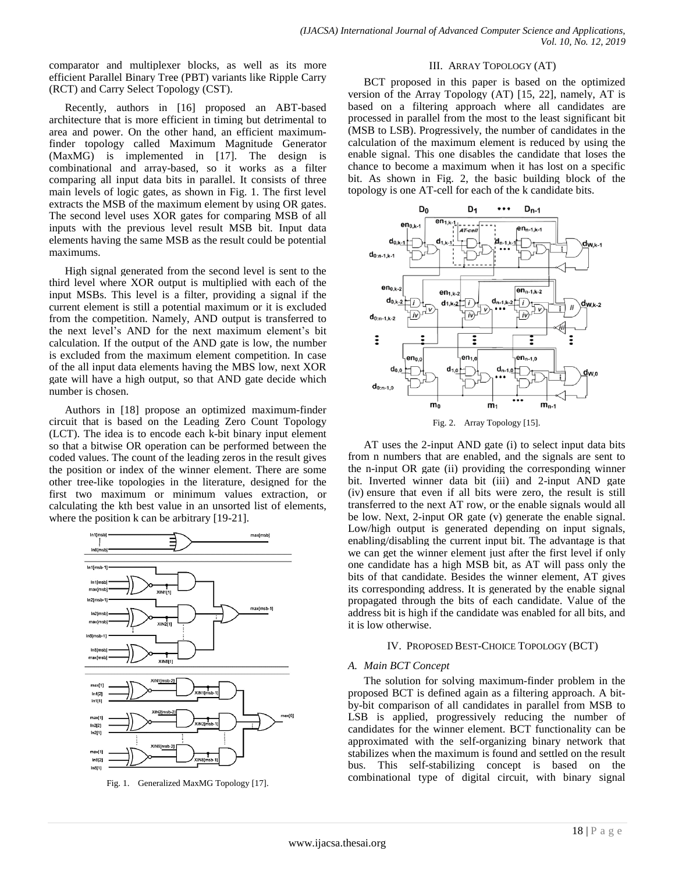comparator and multiplexer blocks, as well as its more efficient Parallel Binary Tree (PBT) variants like Ripple Carry (RCT) and Carry Select Topology (CST).

Recently, authors in [16] proposed an ABT-based architecture that is more efficient in timing but detrimental to area and power. On the other hand, an efficient maximumfinder topology called Maximum Magnitude Generator (MaxMG) is implemented in [17]. The design is combinational and array-based, so it works as a filter comparing all input data bits in parallel. It consists of three main levels of logic gates, as shown in Fig. 1. The first level extracts the MSB of the maximum element by using OR gates. The second level uses XOR gates for comparing MSB of all inputs with the previous level result MSB bit. Input data elements having the same MSB as the result could be potential maximums.

High signal generated from the second level is sent to the third level where XOR output is multiplied with each of the input MSBs. This level is a filter, providing a signal if the current element is still a potential maximum or it is excluded from the competition. Namely, AND output is transferred to the next level's AND for the next maximum element's bit calculation. If the output of the AND gate is low, the number is excluded from the maximum element competition. In case of the all input data elements having the MBS low, next XOR gate will have a high output, so that AND gate decide which number is chosen.

Authors in [18] propose an optimized maximum-finder circuit that is based on the Leading Zero Count Topology (LCT). The idea is to encode each k-bit binary input element so that a bitwise OR operation can be performed between the coded values. The count of the leading zeros in the result gives the position or index of the winner element. There are some other tree-like topologies in the literature, designed for the first two maximum or minimum values extraction, or calculating the kth best value in an unsorted list of elements, where the position k can be arbitrary [19-21].



Fig. 1. Generalized MaxMG Topology [17].

#### III. ARRAY TOPOLOGY (AT)

BCT proposed in this paper is based on the optimized version of the Array Topology (AT) [15, 22], namely, AT is based on a filtering approach where all candidates are processed in parallel from the most to the least significant bit (MSB to LSB). Progressively, the number of candidates in the calculation of the maximum element is reduced by using the enable signal. This one disables the candidate that loses the chance to become a maximum when it has lost on a specific bit. As shown in Fig. 2, the basic building block of the topology is one AT-cell for each of the k candidate bits.



Fig. 2. Array Topology [15].

AT uses the 2-input AND gate (i) to select input data bits from n numbers that are enabled, and the signals are sent to the n-input OR gate (ii) providing the corresponding winner bit. Inverted winner data bit (iii) and 2-input AND gate (iv) ensure that even if all bits were zero, the result is still transferred to the next AT row, or the enable signals would all be low. Next, 2-input OR gate (v) generate the enable signal. Low/high output is generated depending on input signals, enabling/disabling the current input bit. The advantage is that we can get the winner element just after the first level if only one candidate has a high MSB bit, as AT will pass only the bits of that candidate. Besides the winner element, AT gives its corresponding address. It is generated by the enable signal propagated through the bits of each candidate. Value of the address bit is high if the candidate was enabled for all bits, and it is low otherwise.

#### IV. PROPOSED BEST-CHOICE TOPOLOGY (BCT)

#### *A. Main BCT Concept*

The solution for solving maximum-finder problem in the proposed BCT is defined again as a filtering approach. A bitby-bit comparison of all candidates in parallel from MSB to LSB is applied, progressively reducing the number of candidates for the winner element. BCT functionality can be approximated with the self-organizing binary network that stabilizes when the maximum is found and settled on the result bus. This self-stabilizing concept is based on the combinational type of digital circuit, with binary signal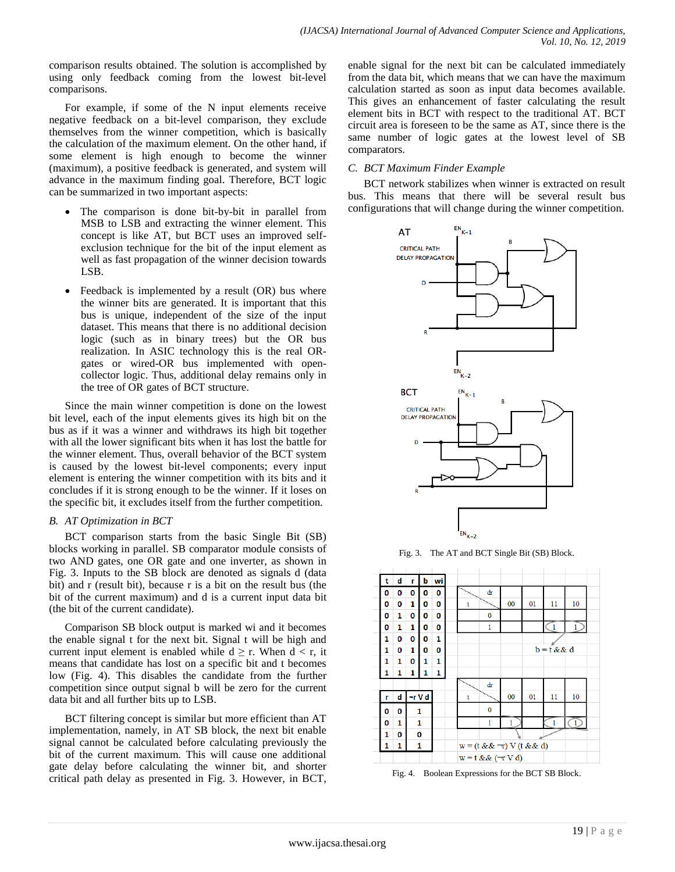comparison results obtained. The solution is accomplished by using only feedback coming from the lowest bit-level comparisons.

For example, if some of the N input elements receive negative feedback on a bit-level comparison, they exclude themselves from the winner competition, which is basically the calculation of the maximum element. On the other hand, if some element is high enough to become the winner (maximum), a positive feedback is generated, and system will advance in the maximum finding goal. Therefore, BCT logic can be summarized in two important aspects:

- The comparison is done bit-by-bit in parallel from MSB to LSB and extracting the winner element. This concept is like AT, but BCT uses an improved selfexclusion technique for the bit of the input element as well as fast propagation of the winner decision towards LSB.
- Feedback is implemented by a result (OR) bus where the winner bits are generated. It is important that this bus is unique, independent of the size of the input dataset. This means that there is no additional decision logic (such as in binary trees) but the OR bus realization. In ASIC technology this is the real ORgates or wired-OR bus implemented with opencollector logic. Thus, additional delay remains only in the tree of OR gates of BCT structure.

Since the main winner competition is done on the lowest bit level, each of the input elements gives its high bit on the bus as if it was a winner and withdraws its high bit together with all the lower significant bits when it has lost the battle for the winner element. Thus, overall behavior of the BCT system is caused by the lowest bit-level components; every input element is entering the winner competition with its bits and it concludes if it is strong enough to be the winner. If it loses on the specific bit, it excludes itself from the further competition.

# *B. AT Optimization in BCT*

BCT comparison starts from the basic Single Bit (SB) blocks working in parallel. SB comparator module consists of two AND gates, one OR gate and one inverter, as shown in Fig. 3. Inputs to the SB block are denoted as signals d (data bit) and r (result bit), because r is a bit on the result bus (the bit of the current maximum) and d is a current input data bit (the bit of the current candidate).

Comparison SB block output is marked wi and it becomes the enable signal t for the next bit. Signal t will be high and current input element is enabled while  $d \ge r$ . When  $d < r$ , it means that candidate has lost on a specific bit and t becomes low (Fig. 4). This disables the candidate from the further competition since output signal b will be zero for the current data bit and all further bits up to LSB.

BCT filtering concept is similar but more efficient than AT implementation, namely, in AT SB block, the next bit enable signal cannot be calculated before calculating previously the bit of the current maximum. This will cause one additional gate delay before calculating the winner bit, and shorter critical path delay as presented in Fig. 3. However, in BCT, enable signal for the next bit can be calculated immediately from the data bit, which means that we can have the maximum calculation started as soon as input data becomes available. This gives an enhancement of faster calculating the result element bits in BCT with respect to the traditional AT. BCT circuit area is foreseen to be the same as AT, since there is the same number of logic gates at the lowest level of SB comparators.

## *C. BCT Maximum Finder Example*

BCT network stabilizes when winner is extracted on result bus. This means that there will be several result bus configurations that will change during the winner competition.



Fig. 3. The AT and BCT Single Bit (SB) Block.



Fig. 4. Boolean Expressions for the BCT SB Block.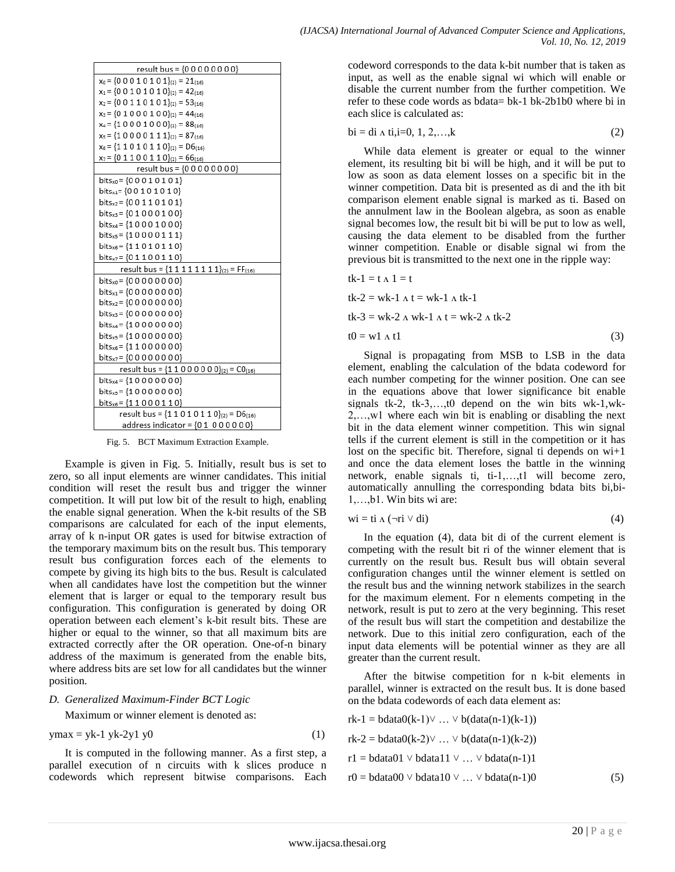| result bus = ${0000000}$                                           |
|--------------------------------------------------------------------|
| $x_0 = \{00010101\}_{(2)} = 21_{(16)}$                             |
| $x_1 = \{0 \ 0 \ 1 \ 0 \ 1 \ 0 \ 1 \ 0\}_{(2)} = 42_{(16)}$        |
| $x_2 = \{00110101\}_{(2)} = 53_{(16)}$                             |
| $x_3 = \{0\ 1\ 0\ 0\ 0\ 1\ 0\ 0\}_{(2)} = 44_{(16)}$               |
| $x_4 = \{10001000\}_{(2)} = 88_{(16)}$                             |
| $x_5 = \{10000111\}_{(2)} = 87_{(16)}$                             |
| $x_6 = \{1\ 1\ 0\ 1\ 0\ 1\ 1\ 0\}_{(2)} = D6_{(16)}$               |
| $x_7 = \{0\ 1\ 1\ 0\ 0\ 1\ 1\ 0\}_{(2)} = 66_{(16)}$               |
| result bus = ${0000000}$                                           |
| bits <sub>x0</sub> = {0 0 0 1 0 1 0 1}                             |
| bits <sub>x1</sub> = {0 0 1 0 1 0 1 0}                             |
| bits <sub>x2</sub> = {0 0 1 1 0 1 0 1}                             |
| bits <sub>x3</sub> = {0 1 0 0 0 1 0 0}                             |
| bits <sub>x4</sub> = {1 0 0 0 1 0 0 0}                             |
| $bits_{x5} = \{10000111\}$                                         |
| $bits_{x6} = \{11010110\}$                                         |
| bits <sub>x7</sub> = {0 1 1 0 0 1 1 0}                             |
| result bus = {1 1 1 1 1 1 1 1} <sub>(2)</sub> = FF <sub>(16)</sub> |
| $bits_{x0} = \{00000000\}$                                         |
| $bits_{x1}$ = {0 0 0 0 0 0 0 0}                                    |
| $bits_{x2} = \{000000000\}$                                        |
| bits <sub>x3</sub> = {0 0 0 0 0 0 0 0}                             |
| $bits_{x4} = \{10000000\}$                                         |
| bits <sub>x5</sub> = {1 0 0 0 0 0 0 0}                             |
| $bits_{x6} = \{11000000\}$                                         |
| $bits_{x7} = {00000000}$                                           |
| result bus = {1 1 0 0 0 0 0 0}(2) = $CO_{(16)}$                    |
| $bits_{x4} = {10000000}$                                           |
| $bits_{x5} = \{10000000\}$                                         |
| bits <sub>x6</sub> = {1 1 0 0 0 1 1 0}                             |
| result bus = $\{1\ 1\ 0\ 1\ 0\ 1\ 1\ 0\}_{(2)} = D6_{(16)}$        |
| address indicator = ${0 1 0 0 0 0 0}$                              |

Fig. 5. BCT Maximum Extraction Example.

Example is given in Fig. 5. Initially, result bus is set to zero, so all input elements are winner candidates. This initial condition will reset the result bus and trigger the winner competition. It will put low bit of the result to high, enabling the enable signal generation. When the k-bit results of the SB comparisons are calculated for each of the input elements, array of k n-input OR gates is used for bitwise extraction of the temporary maximum bits on the result bus. This temporary result bus configuration forces each of the elements to compete by giving its high bits to the bus. Result is calculated when all candidates have lost the competition but the winner element that is larger or equal to the temporary result bus configuration. This configuration is generated by doing OR operation between each element's k-bit result bits. These are higher or equal to the winner, so that all maximum bits are extracted correctly after the OR operation. One-of-n binary address of the maximum is generated from the enable bits, where address bits are set low for all candidates but the winner position.

#### *D. Generalized Maximum-Finder BCT Logic*

Maximum or winner element is denoted as:

$$
ymax = yk-1 yk-2y1 y0
$$
 (1)

It is computed in the following manner. As a first step, a parallel execution of n circuits with k slices produce n codewords which represent bitwise comparisons. Each codeword corresponds to the data k-bit number that is taken as input, as well as the enable signal wi which will enable or disable the current number from the further competition. We refer to these code words as bdata= bk-1 bk-2b1b0 where bi in each slice is calculated as:

$$
bi = di \land ti, i=0, 1, 2, \dots, k
$$
 (2)

While data element is greater or equal to the winner element, its resulting bit bi will be high, and it will be put to low as soon as data element losses on a specific bit in the winner competition. Data bit is presented as di and the ith bit comparison element enable signal is marked as ti. Based on the annulment law in the Boolean algebra, as soon as enable signal becomes low, the result bit bi will be put to low as well, causing the data element to be disabled from the further winner competition. Enable or disable signal wi from the previous bit is transmitted to the next one in the ripple way:

$$
tk-1 = t \land 1 = t
$$

$$
tk-2 = wk-1 \land t = wk-1 \land tk-1
$$

$$
tk-3 = wk-2 \land wk-1 \land t = wk-2 \land tk-2
$$

$$
t0 = w1 \land t1 \tag{3}
$$

Signal is propagating from MSB to LSB in the data element, enabling the calculation of the bdata codeword for each number competing for the winner position. One can see in the equations above that lower significance bit enable signals tk-2, tk-3,…,t0 depend on the win bits wk-1,wk-2,…,w1 where each win bit is enabling or disabling the next bit in the data element winner competition. This win signal tells if the current element is still in the competition or it has lost on the specific bit. Therefore, signal ti depends on wi+1 and once the data element loses the battle in the winning network, enable signals ti, ti-1,…,t1 will become zero, automatically annulling the corresponding bdata bits bi,bi-1,…,b1. Win bits wi are:

$$
\text{wi} = \text{ti} \land (\neg \text{ri} \lor \text{di}) \tag{4}
$$

In the equation (4), data bit di of the current element is competing with the result bit ri of the winner element that is currently on the result bus. Result bus will obtain several configuration changes until the winner element is settled on the result bus and the winning network stabilizes in the search for the maximum element. For n elements competing in the network, result is put to zero at the very beginning. This reset of the result bus will start the competition and destabilize the network. Due to this initial zero configuration, each of the input data elements will be potential winner as they are all greater than the current result.

After the bitwise competition for n k-bit elements in parallel, winner is extracted on the result bus. It is done based on the bdata codewords of each data element as:

rk-1 = bdata0(k-1)
$$
\vee ... \vee b(data(n-1)(k-1))
$$
  
rk-2 = bdata0(k-2) $\vee ... \vee b(data(n-1)(k-2))$   
r1 = bdata01  $\vee$  bdata11  $\vee ... \vee$  bdata(n-1)1  
r0 = bdata00  $\vee$  bdata10  $\vee ... \vee$  bdata(n-1)0 (5)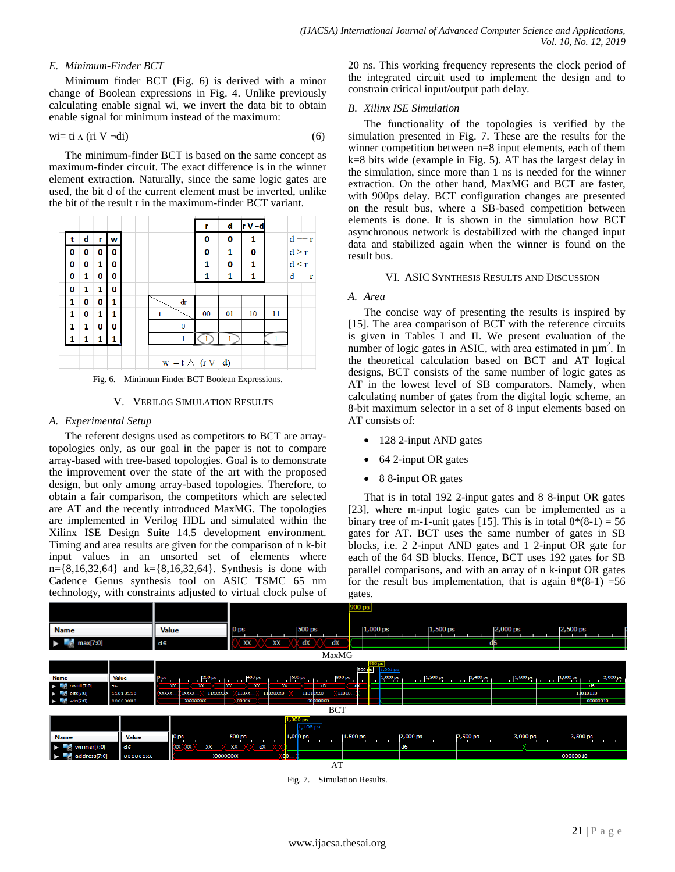# *E. Minimum-Finder BCT*

Minimum finder BCT (Fig. 6) is derived with a minor change of Boolean expressions in Fig. 4. Unlike previously calculating enable signal wi, we invert the data bit to obtain enable signal for minimum instead of the maximum:

$$
\text{w} = \text{ti } \land \text{(ri } \text{V} \neg \text{di}) \tag{6}
$$

The minimum-finder BCT is based on the same concept as maximum-finder circuit. The exact difference is in the winner element extraction. Naturally, since the same logic gates are used, the bit d of the current element must be inverted, unlike the bit of the result r in the maximum-finder BCT variant.



Fig. 6. Minimum Finder BCT Boolean Expressions.

### V. VERILOG SIMULATION RESULTS

# *A. Experimental Setup*

The referent designs used as competitors to BCT are arraytopologies only, as our goal in the paper is not to compare array-based with tree-based topologies. Goal is to demonstrate the improvement over the state of the art with the proposed design, but only among array-based topologies. Therefore, to obtain a fair comparison, the competitors which are selected are AT and the recently introduced MaxMG. The topologies are implemented in Verilog HDL and simulated within the Xilinx ISE Design Suite 14.5 development environment. Timing and area results are given for the comparison of n k-bit input values in an unsorted set of elements where  $n = \{8, 16, 32, 64\}$  and  $k = \{8, 16, 32, 64\}$ . Synthesis is done with Cadence Genus synthesis tool on ASIC TSMC 65 nm technology, with constraints adjusted to virtual clock pulse of 20 ns. This working frequency represents the clock period of the integrated circuit used to implement the design and to constrain critical input/output path delay.

## *B. Xilinx ISE Simulation*

The functionality of the topologies is verified by the simulation presented in Fig. 7. These are the results for the winner competition between n=8 input elements, each of them k=8 bits wide (example in Fig. 5). AT has the largest delay in the simulation, since more than 1 ns is needed for the winner extraction. On the other hand, MaxMG and BCT are faster, with 900ps delay. BCT configuration changes are presented on the result bus, where a SB-based competition between elements is done. It is shown in the simulation how BCT asynchronous network is destabilized with the changed input data and stabilized again when the winner is found on the result bus.

#### VI. ASIC SYNTHESIS RESULTS AND DISCUSSION

# *A. Area*

The concise way of presenting the results is inspired by [15]. The area comparison of BCT with the reference circuits is given in Tables I and II. We present evaluation of the number of logic gates in ASIC, with area estimated in  $\mu$ m<sup>2</sup>. In the theoretical calculation based on BCT and AT logical designs, BCT consists of the same number of logic gates as AT in the lowest level of SB comparators. Namely, when calculating number of gates from the digital logic scheme, an 8-bit maximum selector in a set of 8 input elements based on AT consists of:

- 128 2-input AND gates
- 64 2-input OR gates
- 8 8-input OR gates

That is in total 192 2-input gates and 8 8-input OR gates [23], where m-input logic gates can be implemented as a binary tree of m-1-unit gates [15]. This is in total  $8*(8-1) = 56$ gates for AT. BCT uses the same number of gates in SB blocks, i.e. 2 2-input AND gates and 1 2-input OR gate for each of the 64 SB blocks. Hence, BCT uses 192 gates for SB parallel comparisons, and with an array of n k-input OR gates for the result bus implementation, that is again  $8*(8-1) = 56$ gates.



Fig. 7. Simulation Results.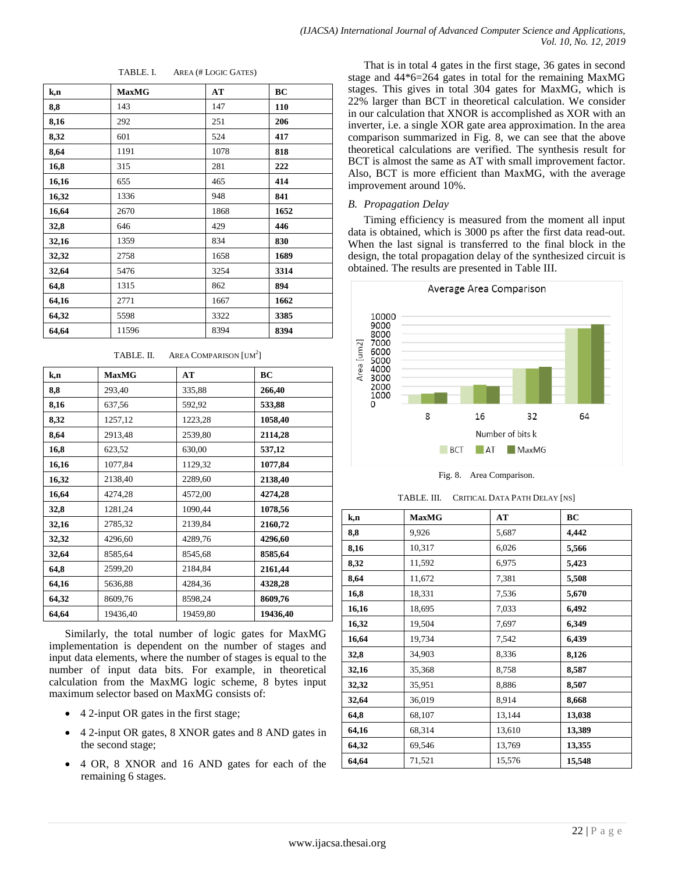| k,n   | <b>MaxMG</b> | AT   | BC   |
|-------|--------------|------|------|
| 8,8   | 143          | 147  | 110  |
| 8,16  | 292          | 251  | 206  |
| 8,32  | 601          | 524  | 417  |
| 8,64  | 1191         | 1078 | 818  |
| 16,8  | 315          | 281  | 222  |
| 16,16 | 655          | 465  | 414  |
| 16,32 | 1336         | 948  | 841  |
| 16,64 | 2670         | 1868 | 1652 |
| 32,8  | 646          | 429  | 446  |
| 32,16 | 1359         | 834  | 830  |
| 32,32 | 2758         | 1658 | 1689 |
| 32,64 | 5476         | 3254 | 3314 |
| 64,8  | 1315         | 862  | 894  |
| 64,16 | 2771         | 1667 | 1662 |
| 64,32 | 5598         | 3322 | 3385 |
| 64,64 | 11596        | 8394 | 8394 |

TABLE. I. AREA (# LOGIC GATES)

TABLE. II. AREA COMPARISON [UM<sup>2</sup>]

| k,n   | <b>MaxMG</b> | AT       | BC       |
|-------|--------------|----------|----------|
| 8,8   | 293,40       | 335,88   | 266,40   |
| 8,16  | 637,56       | 592,92   | 533,88   |
| 8,32  | 1257,12      | 1223,28  | 1058,40  |
| 8,64  | 2913,48      | 2539,80  | 2114,28  |
| 16,8  | 623,52       | 630,00   | 537,12   |
| 16,16 | 1077,84      | 1129,32  | 1077,84  |
| 16,32 | 2138,40      | 2289,60  | 2138,40  |
| 16,64 | 4274,28      | 4572,00  | 4274,28  |
| 32,8  | 1281,24      | 1090,44  | 1078,56  |
| 32,16 | 2785,32      | 2139,84  | 2160,72  |
| 32,32 | 4296,60      | 4289,76  | 4296,60  |
| 32,64 | 8585,64      | 8545,68  | 8585,64  |
| 64,8  | 2599,20      | 2184,84  | 2161,44  |
| 64,16 | 5636,88      | 4284,36  | 4328,28  |
| 64,32 | 8609,76      | 8598,24  | 8609,76  |
| 64,64 | 19436,40     | 19459,80 | 19436,40 |

Similarly, the total number of logic gates for MaxMG implementation is dependent on the number of stages and input data elements, where the number of stages is equal to the number of input data bits. For example, in theoretical calculation from the MaxMG logic scheme, 8 bytes input maximum selector based on MaxMG consists of:

- 4 2-input OR gates in the first stage;
- 4 2-input OR gates, 8 XNOR gates and 8 AND gates in the second stage;
- 4 OR, 8 XNOR and 16 AND gates for each of the remaining 6 stages.

That is in total 4 gates in the first stage, 36 gates in second stage and 44\*6=264 gates in total for the remaining MaxMG stages. This gives in total 304 gates for MaxMG, which is 22% larger than BCT in theoretical calculation. We consider in our calculation that XNOR is accomplished as XOR with an inverter, i.e. a single XOR gate area approximation. In the area comparison summarized in Fig. 8, we can see that the above theoretical calculations are verified. The synthesis result for BCT is almost the same as AT with small improvement factor. Also, BCT is more efficient than MaxMG, with the average improvement around 10%.

# *B. Propagation Delay*

Timing efficiency is measured from the moment all input data is obtained, which is 3000 ps after the first data read-out. When the last signal is transferred to the final block in the design, the total propagation delay of the synthesized circuit is obtained. The results are presented in Table III.





TABLE. III. CRITICAL DATA PATH DELAY [NS]

| k,n   | <b>MaxMG</b> | AT     | BC     |
|-------|--------------|--------|--------|
| 8,8   | 9,926        | 5,687  | 4,442  |
| 8,16  | 10,317       | 6,026  | 5,566  |
| 8,32  | 11,592       | 6,975  | 5,423  |
| 8,64  | 11,672       | 7,381  | 5,508  |
| 16,8  | 18,331       | 7,536  | 5,670  |
| 16,16 | 18,695       | 7,033  | 6,492  |
| 16,32 | 19,504       | 7,697  | 6,349  |
| 16,64 | 19,734       | 7,542  | 6,439  |
| 32,8  | 34,903       | 8,336  | 8,126  |
| 32,16 | 35,368       | 8,758  | 8,587  |
| 32,32 | 35,951       | 8,886  | 8,507  |
| 32,64 | 36,019       | 8.914  | 8,668  |
| 64,8  | 68,107       | 13,144 | 13,038 |
| 64,16 | 68,314       | 13,610 | 13,389 |
| 64,32 | 69,546       | 13,769 | 13,355 |
| 64,64 | 71,521       | 15,576 | 15,548 |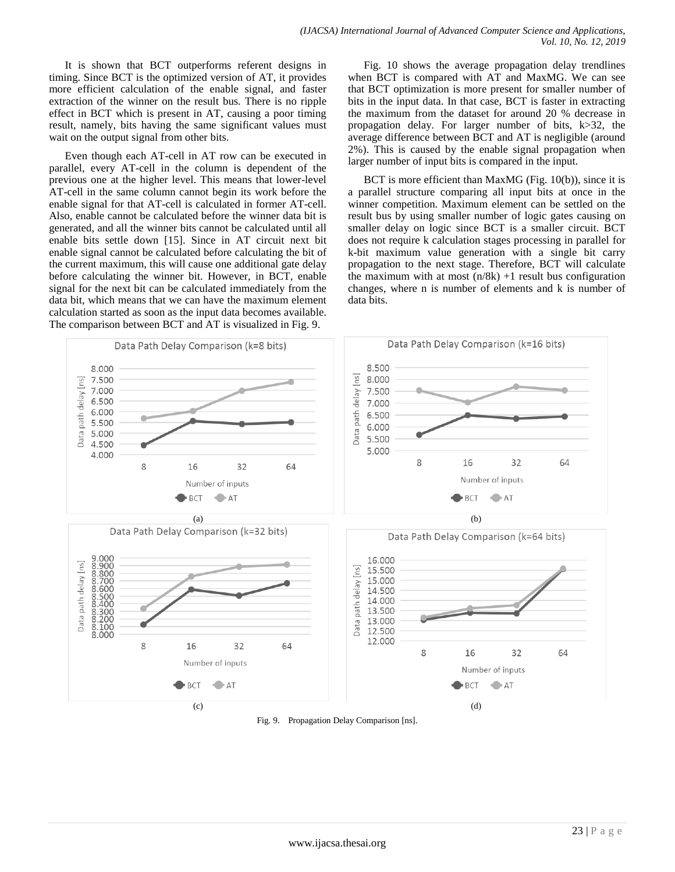It is shown that BCT outperforms referent designs in timing. Since BCT is the optimized version of AT, it provides more efficient calculation of the enable signal, and faster extraction of the winner on the result bus. There is no ripple effect in BCT which is present in AT, causing a poor timing result, namely, bits having the same significant values must wait on the output signal from other bits.

Even though each AT-cell in AT row can be executed in parallel, every AT-cell in the column is dependent of the previous one at the higher level. This means that lower-level AT-cell in the same column cannot begin its work before the enable signal for that AT-cell is calculated in former AT-cell. Also, enable cannot be calculated before the winner data bit is generated, and all the winner bits cannot be calculated until all enable bits settle down [15]. Since in AT circuit next bit enable signal cannot be calculated before calculating the bit of the current maximum, this will cause one additional gate delay before calculating the winner bit. However, in BCT, enable signal for the next bit can be calculated immediately from the data bit, which means that we can have the maximum element calculation started as soon as the input data becomes available. The comparison between BCT and AT is visualized in Fig. 9.

Fig. 10 shows the average propagation delay trendlines when BCT is compared with AT and MaxMG. We can see that BCT optimization is more present for smaller number of bits in the input data. In that case, BCT is faster in extracting the maximum from the dataset for around 20 % decrease in propagation delay. For larger number of bits, k>32, the average difference between BCT and AT is negligible (around 2%). This is caused by the enable signal propagation when larger number of input bits is compared in the input.

BCT is more efficient than MaxMG (Fig. 10(b)), since it is a parallel structure comparing all input bits at once in the winner competition. Maximum element can be settled on the result bus by using smaller number of logic gates causing on smaller delay on logic since BCT is a smaller circuit. BCT does not require k calculation stages processing in parallel for k-bit maximum value generation with a single bit carry propagation to the next stage. Therefore, BCT will calculate the maximum with at most  $(n/8k) +1$  result bus configuration changes, where n is number of elements and k is number of data bits.



Fig. 9. Propagation Delay Comparison [ns].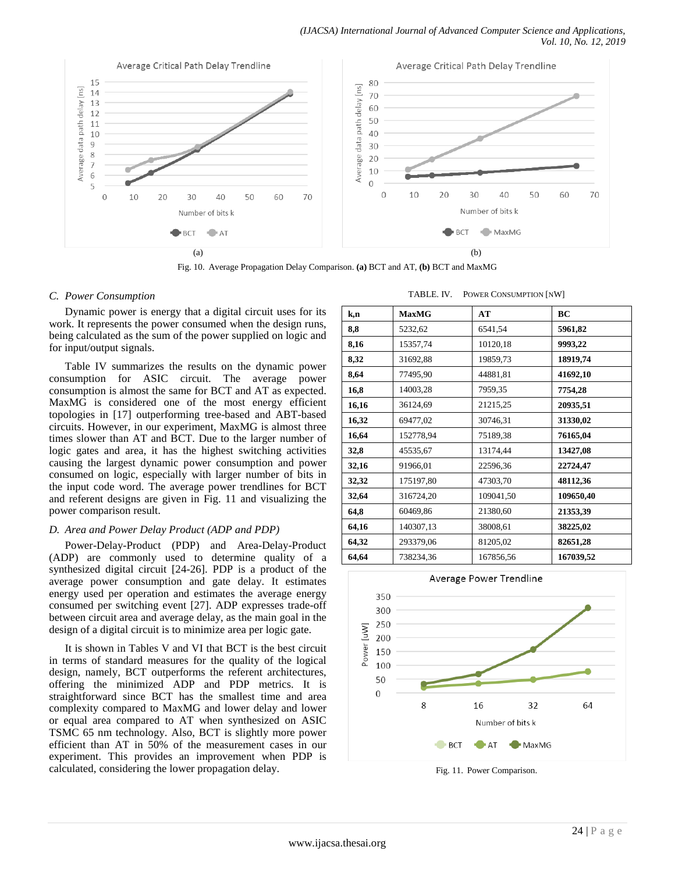

Fig. 10. Average Propagation Delay Comparison. **(a)** BCT and AT, **(b)** BCT and MaxMG

### *C. Power Consumption*

Dynamic power is energy that a digital circuit uses for its work. It represents the power consumed when the design runs, being calculated as the sum of the power supplied on logic and for input/output signals.

Table IV summarizes the results on the dynamic power consumption for ASIC circuit. The average power consumption is almost the same for BCT and AT as expected. MaxMG is considered one of the most energy efficient topologies in [17] outperforming tree-based and ABT-based circuits. However, in our experiment, MaxMG is almost three times slower than AT and BCT. Due to the larger number of logic gates and area, it has the highest switching activities causing the largest dynamic power consumption and power consumed on logic, especially with larger number of bits in the input code word. The average power trendlines for BCT and referent designs are given in Fig. 11 and visualizing the power comparison result.

# *D. Area and Power Delay Product (ADP and PDP)*

Power-Delay-Product (PDP) and Area-Delay-Product (ADP) are commonly used to determine quality of a synthesized digital circuit [24-26]. PDP is a product of the average power consumption and gate delay. It estimates energy used per operation and estimates the average energy consumed per switching event [27]. ADP expresses trade-off between circuit area and average delay, as the main goal in the design of a digital circuit is to minimize area per logic gate.

It is shown in Tables V and VI that BCT is the best circuit in terms of standard measures for the quality of the logical design, namely, BCT outperforms the referent architectures, offering the minimized ADP and PDP metrics. It is straightforward since BCT has the smallest time and area complexity compared to MaxMG and lower delay and lower or equal area compared to AT when synthesized on ASIC TSMC 65 nm technology. Also, BCT is slightly more power efficient than AT in 50% of the measurement cases in our experiment. This provides an improvement when PDP is calculated, considering the lower propagation delay.

| k,n   | <b>MaxMG</b> | AT        | BC        |
|-------|--------------|-----------|-----------|
| 8,8   | 5232,62      | 6541,54   | 5961,82   |
| 8,16  | 15357,74     | 10120,18  | 9993,22   |
| 8,32  | 31692,88     | 19859,73  | 18919,74  |
| 8,64  | 77495,90     | 44881,81  | 41692,10  |
| 16,8  | 14003,28     | 7959,35   | 7754,28   |
| 16,16 | 36124,69     | 21215,25  | 20935,51  |
| 16,32 | 69477,02     | 30746,31  | 31330,02  |
| 16,64 | 152778.94    | 75189,38  | 76165,04  |
| 32,8  | 45535,67     | 13174,44  | 13427,08  |
| 32,16 | 91966,01     | 22596,36  | 22724,47  |
| 32,32 | 175197,80    | 47303,70  | 48112,36  |
| 32,64 | 316724,20    | 109041,50 | 109650,40 |
| 64,8  | 60469,86     | 21380,60  | 21353,39  |
| 64,16 | 140307,13    | 38008,61  | 38225,02  |
| 64,32 | 293379,06    | 81205,02  | 82651,28  |
| 64,64 | 738234,36    | 167856,56 | 167039,52 |

TABLE. IV. POWER CONSUMPTION [NW]



Fig. 11. Power Comparison.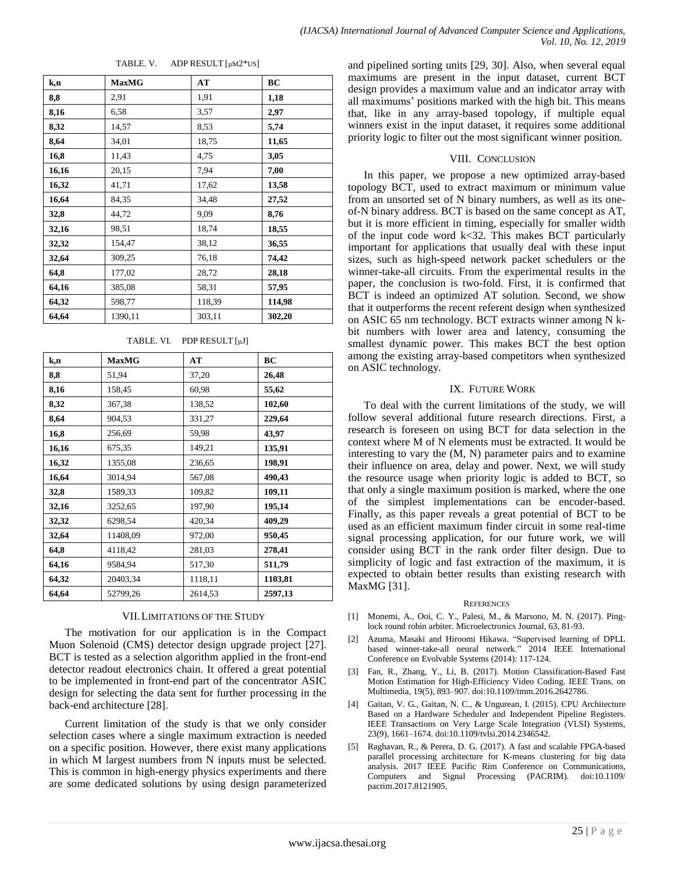| k,n   | <b>MaxMG</b> | AT     | BC     |
|-------|--------------|--------|--------|
| 8,8   | 2.91         | 1,91   | 1,18   |
| 8,16  | 6,58         | 3,57   | 2,97   |
| 8,32  | 14,57        | 8,53   | 5,74   |
| 8,64  | 34,01        | 18,75  | 11,65  |
| 16,8  | 11,43        | 4,75   | 3,05   |
| 16,16 | 20,15        | 7.94   | 7,00   |
| 16,32 | 41,71        | 17,62  | 13,58  |
| 16,64 | 84,35        | 34,48  | 27,52  |
| 32,8  | 44,72        | 9.09   | 8,76   |
| 32,16 | 98,51        | 18,74  | 18,55  |
| 32,32 | 154,47       | 38,12  | 36,55  |
| 32,64 | 309,25       | 76,18  | 74,42  |
| 64,8  | 177,02       | 28,72  | 28,18  |
| 64,16 | 385,08       | 58,31  | 57,95  |
| 64,32 | 598,77       | 118,39 | 114,98 |
| 64,64 | 1390,11      | 303,11 | 302,20 |

#### TABLE. V. ADP RESULT [µM2\*US]

#### TABLE. VI. PDP RESULT [µJ]

| k,n   | <b>MaxMG</b> | AT      | BC      |
|-------|--------------|---------|---------|
| 8,8   | 51,94        | 37,20   | 26,48   |
| 8,16  | 158,45       | 60,98   | 55,62   |
| 8,32  | 367,38       | 138,52  | 102,60  |
| 8,64  | 904,53       | 331,27  | 229,64  |
| 16,8  | 256,69       | 59,98   | 43,97   |
| 16,16 | 675,35       | 149,21  | 135,91  |
| 16,32 | 1355,08      | 236,65  | 198,91  |
| 16,64 | 3014,94      | 567,08  | 490,43  |
| 32,8  | 1589,33      | 109,82  | 109,11  |
| 32,16 | 3252,65      | 197,90  | 195,14  |
| 32,32 | 6298,54      | 420,34  | 409,29  |
| 32,64 | 11408,09     | 972,00  | 950,45  |
| 64,8  | 4118,42      | 281,03  | 278,41  |
| 64,16 | 9584,94      | 517,30  | 511,79  |
| 64,32 | 20403,34     | 1118,11 | 1103,81 |
| 64,64 | 52799,26     | 2614,53 | 2597,13 |

#### VII.LIMITATIONS OF THE STUDY

The motivation for our application is in the Compact Muon Solenoid (CMS) detector design upgrade project [27]. BCT is tested as a selection algorithm applied in the front-end detector readout electronics chain. It offered a great potential to be implemented in front-end part of the concentrator ASIC design for selecting the data sent for further processing in the back-end architecture [28].

Current limitation of the study is that we only consider selection cases where a single maximum extraction is needed on a specific position. However, there exist many applications in which M largest numbers from N inputs must be selected. This is common in high-energy physics experiments and there are some dedicated solutions by using design parameterized and pipelined sorting units [29, 30]. Also, when several equal maximums are present in the input dataset, current BCT design provides a maximum value and an indicator array with all maximums' positions marked with the high bit. This means that, like in any array-based topology, if multiple equal winners exist in the input dataset, it requires some additional priority logic to filter out the most significant winner position.

#### VIII. CONCLUSION

In this paper, we propose a new optimized array-based topology BCT, used to extract maximum or minimum value from an unsorted set of N binary numbers, as well as its oneof-N binary address. BCT is based on the same concept as AT, but it is more efficient in timing, especially for smaller width of the input code word  $k < 32$ . This makes BCT particularly important for applications that usually deal with these input sizes, such as high-speed network packet schedulers or the winner-take-all circuits. From the experimental results in the paper, the conclusion is two-fold. First, it is confirmed that BCT is indeed an optimized AT solution. Second, we show that it outperforms the recent referent design when synthesized on ASIC 65 nm technology. BCT extracts winner among N kbit numbers with lower area and latency, consuming the smallest dynamic power. This makes BCT the best option among the existing array-based competitors when synthesized on ASIC technology.

#### IX. FUTURE WORK

To deal with the current limitations of the study, we will follow several additional future research directions. First, a research is foreseen on using BCT for data selection in the context where M of N elements must be extracted. It would be interesting to vary the (M, N) parameter pairs and to examine their influence on area, delay and power. Next, we will study the resource usage when priority logic is added to BCT, so that only a single maximum position is marked, where the one of the simplest implementations can be encoder-based. Finally, as this paper reveals a great potential of BCT to be used as an efficient maximum finder circuit in some real-time signal processing application, for our future work, we will consider using BCT in the rank order filter design. Due to simplicity of logic and fast extraction of the maximum, it is expected to obtain better results than existing research with MaxMG [31].

#### **REFERENCES**

- [1] Monemi, A., Ooi, C. Y., Palesi, M., & Marsono, M. N. (2017). Pinglock round robin arbiter. Microelectronics Journal, 63, 81-93.
- Azuma, Masaki and Hiroomi Hikawa. "Supervised learning of DPLL based winner-take-all neural network." 2014 IEEE International Conference on Evolvable Systems (2014): 117-124.
- [3] Fan, R., Zhang, Y., Li, B. (2017). Motion Classification-Based Fast Motion Estimation for High-Efficiency Video Coding. IEEE Trans. on Multimedia, 19(5), 893–907. doi:10.1109/tmm.2016.2642786.
- [4] Gaitan, V. G., Gaitan, N. C., & Ungurean, I. (2015). CPU Architecture Based on a Hardware Scheduler and Independent Pipeline Registers. IEEE Transactions on Very Large Scale Integration (VLSI) Systems, 23(9), 1661–1674. doi:10.1109/tvlsi.2014.2346542.
- [5] Raghavan, R., & Perera, D. G. (2017). A fast and scalable FPGA-based parallel processing architecture for K-means clustering for big data analysis. 2017 IEEE Pacific Rim Conference on Communications, Computers and Signal Processing (PACRIM). doi:10.1109/ pacrim.2017.8121905.